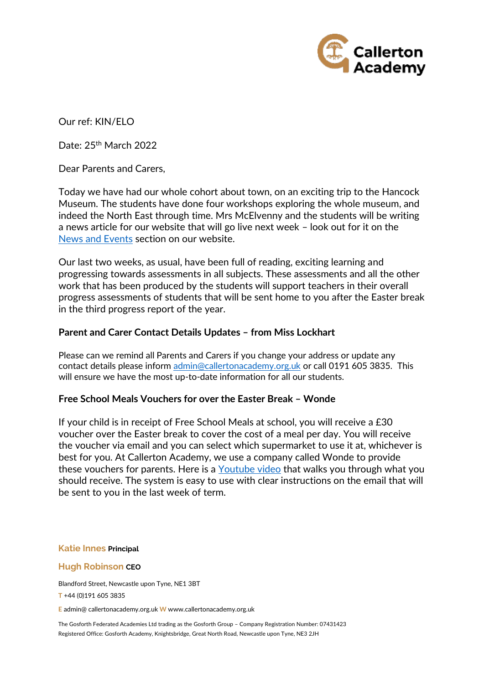

Our ref: KIN/ELO

Date: 25<sup>th</sup> March 2022

Dear Parents and Carers,

Today we have had our whole cohort about town, on an exciting trip to the Hancock Museum. The students have done four workshops exploring the whole museum, and indeed the North East through time. Mrs McElvenny and the students will be writing a news article for our website that will go live next week – look out for it on the [News and Events](https://www.callertonacademy.org.uk/news-and-events) section on our website.

Our last two weeks, as usual, have been full of reading, exciting learning and progressing towards assessments in all subjects. These assessments and all the other work that has been produced by the students will support teachers in their overall progress assessments of students that will be sent home to you after the Easter break in the third progress report of the year.

# **Parent and Carer Contact Details Updates – from Miss Lockhart**

Please can we remind all Parents and Carers if you change your address or update any contact details please inform [admin@callertonacademy.org.uk](mailto:admin@callertonacademy.org.uk) or call 0191 605 3835. This will ensure we have the most up-to-date information for all our students.

## **Free School Meals Vouchers for over the Easter Break – Wonde**

If your child is in receipt of Free School Meals at school, you will receive a £30 voucher over the Easter break to cover the cost of a meal per day. You will receive the voucher via email and you can select which supermarket to use it at, whichever is best for you. At Callerton Academy, we use a company called Wonde to provide these vouchers for parents. Here is a [Youtube video](https://www.youtube.com/watch?v=l2hZg2OI7Cs) that walks you through what you should receive. The system is easy to use with clear instructions on the email that will be sent to you in the last week of term.

### **Katie Innes Principal**

### **Hugh Robinson CEO**

Blandford Street, Newcastle upon Tyne, NE1 3BT

**T** +44 (0)191 605 3835

**E** admin@ callertonacademy.org.uk **W** www.callertonacademy.org.uk

The Gosforth Federated Academies Ltd trading as the Gosforth Group – Company Registration Number: 07431423 Registered Office: Gosforth Academy, Knightsbridge, Great North Road, Newcastle upon Tyne, NE3 2JH